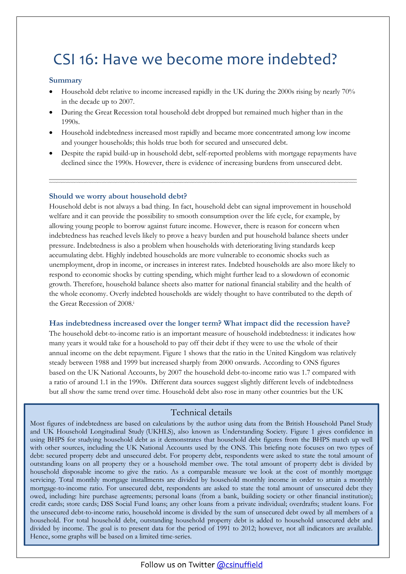# CSI 16: Have we become more indebted?

## **Summary**

- Household debt relative to income increased rapidly in the UK during the 2000s rising by nearly 70% in the decade up to 2007.
- During the Great Recession total household debt dropped but remained much higher than in the 1990s.
- Household indebtedness increased most rapidly and became more concentrated among low income and younger households; this holds true both for secured and unsecured debt.
- Despite the rapid build-up in household debt, self-reported problems with mortgage repayments have declined since the 1990s. However, there is evidence of increasing burdens from unsecured debt.

## **Should we worry about household debt?**

Household debt is not always a bad thing. In fact, household debt can signal improvement in household welfare and it can provide the possibility to smooth consumption over the life cycle, for example, by allowing young people to borrow against future income. However, there is reason for concern when indebtedness has reached levels likely to prove a heavy burden and put household balance sheets under pressure. Indebtedness is also a problem when households with deteriorating living standards keep accumulating debt. Highly indebted households are more vulnerable to economic shocks such as unemployment, drop in income, or increases in interest rates. Indebted households are also more likely to respond to economic shocks by cutting spending, which might further lead to a slowdown of economic growth. Therefore, household balance sheets also matter for national financial stability and the health of the whole economy. Overly indebted households are widely thought to have contributed to the depth of the Great Recession of 2008<sup>i</sup>

#### **Has indebtedness increased over the longer term? What impact did the recession have?**

The household debt-to-income ratio is an important measure of household indebtedness: it indicates how many years it would take for a household to pay off their debt if they were to use the whole of their annual income on the debt repayment. Figure 1 shows that the ratio in the United Kingdom was relatively steady between 1988 and 1999 but increased sharply from 2000 onwards. According to ONS figures based on the UK National Accounts, by 2007 the household debt-to-income ratio was 1.7 compared with a ratio of around 1.1 in the 1990s. Different data sources suggest slightly different levels of indebtedness but all show the same trend over time. Household debt also rose in many other countries but the UK

## Technical details

Most figures of indebtedness are based on calculations by the author using data from the British Household Panel Study and UK Household Longitudinal Study (UKHLS), also known as Understanding Society. Figure 1 gives confidence in using BHPS for studying household debt as it demonstrates that household debt figures from the BHPS match up well with other sources, including the UK National Accounts used by the ONS. This briefing note focuses on two types of debt: secured property debt and unsecured debt. For property debt, respondents were asked to state the total amount of outstanding loans on all property they or a household member owe. The total amount of property debt is divided by household disposable income to give the ratio. As a comparable measure we look at the cost of monthly mortgage servicing. Total monthly mortgage installments are divided by household monthly income in order to attain a monthly mortgage-to-income ratio. For unsecured debt, respondents are asked to state the total amount of unsecured debt they owed, including: hire purchase agreements; personal loans (from a bank, building society or other financial institution); credit cards; store cards; DSS Social Fund loans; any other loans from a private individual; overdrafts; student loans. For the unsecured debt-to-income ratio, household income is divided by the sum of unsecured debt owed by all members of a household. For total household debt, outstanding household property debt is added to household unsecured debt and divided by income. The goal is to present data for the period of 1991 to 2012; however, not all indicators are available. Hence, some graphs will be based on a limited time-series.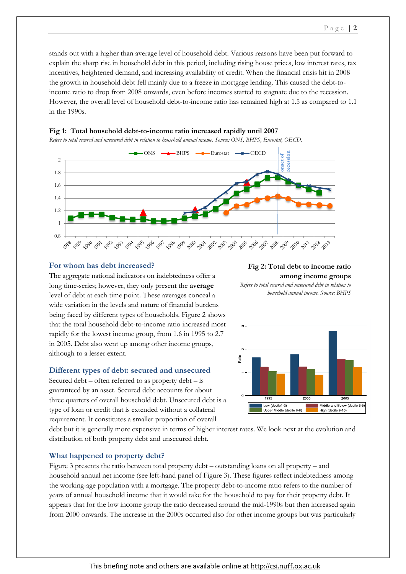stands out with a higher than average level of household debt. Various reasons have been put forward to explain the sharp rise in household debt in this period, including rising house prices, low interest rates, tax incentives, heightened demand, and increasing availability of credit. When the financial crisis hit in 2008 the growth in household debt fell mainly due to a freeze in mortgage lending. This caused the debt-toincome ratio to drop from 2008 onwards, even before incomes started to stagnate due to the recession. However, the overall level of household debt-to-income ratio has remained high at 1.5 as compared to 1.1 in the 1990s.



## **Fig 1: Total household debt-to-income ratio increased rapidly until 2007**

#### **For whom has debt increased?**

The aggregate national indicators on indebtedness offer a long time-series; however, they only present the **average** level of debt at each time point. These averages conceal a wide variation in the levels and nature of financial burdens being faced by different types of households. Figure 2 shows that the total household debt-to-income ratio increased most rapidly for the lowest income group, from 1.6 in 1995 to 2.7 in 2005. Debt also went up among other income groups, although to a lesser extent.

#### **Different types of debt: secured and unsecured**

Secured debt – often referred to as property debt – is guaranteed by an asset. Secured debt accounts for about three quarters of overall household debt. Unsecured debt is a type of loan or credit that is extended without a collateral requirement. It constitutes a smaller proportion of overall

#### **Fig 2: Total debt to income ratio among income groups**

*Refers to total secured and unsecured debt in relation to* 



debt but it is generally more expensive in terms of higher interest rates. We look next at the evolution and distribution of both property debt and unsecured debt.

## **What happened to property debt?**

Figure 3 presents the ratio between total property debt – outstanding loans on all property – and household annual net income (see left-hand panel of Figure 3). These figures reflect indebtedness among the working-age population with a mortgage. The property debt-to-income ratio refers to the number of years of annual household income that it would take for the household to pay for their property debt. It appears that for the low income group the ratio decreased around the mid-1990s but then increased again from 2000 onwards. The increase in the 2000s occurred also for other income groups but was particularly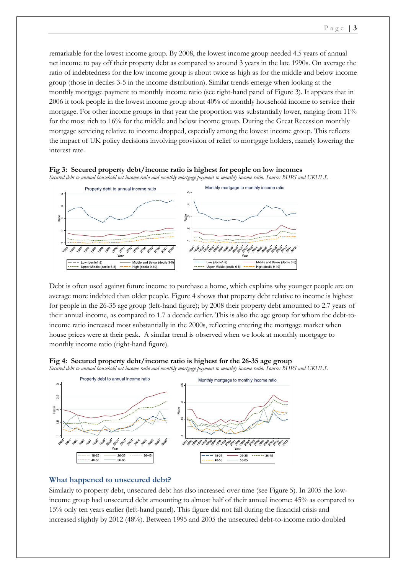remarkable for the lowest income group. By 2008, the lowest income group needed 4.5 years of annual net income to pay off their property debt as compared to around 3 years in the late 1990s. On average the ratio of indebtedness for the low income group is about twice as high as for the middle and below income group (those in deciles 3-5 in the income distribution). Similar trends emerge when looking at the monthly mortgage payment to monthly income ratio (see right-hand panel of Figure 3). It appears that in 2006 it took people in the lowest income group about 40% of monthly household income to service their mortgage. For other income groups in that year the proportion was substantially lower, ranging from 11% for the most rich to 16% for the middle and below income group. During the Great Recession monthly mortgage servicing relative to income dropped, especially among the lowest income group. This reflects the impact of UK policy decisions involving provision of relief to mortgage holders, namely lowering the interest rate.



Debt is often used against future income to purchase a home, which explains why younger people are on average more indebted than older people. Figure 4 shows that property debt relative to income is highest for people in the 26-35 age group (left-hand figure); by 2008 their property debt amounted to 2.7 years of their annual income, as compared to 1.7 a decade earlier. This is also the age group for whom the debt-toincome ratio increased most substantially in the 2000s, reflecting entering the mortgage market when house prices were at their peak. A similar trend is observed when we look at monthly mortgage to monthly income ratio (right-hand figure).





#### **What happened to unsecured debt?**

Similarly to property debt, unsecured debt has also increased over time (see Figure 5). In 2005 the lowincome group had unsecured debt amounting to almost half of their annual income: 45% as compared to 15% only ten years earlier (left-hand panel). This figure did not fall during the financial crisis and increased slightly by 2012 (48%). Between 1995 and 2005 the unsecured debt-to-income ratio doubled